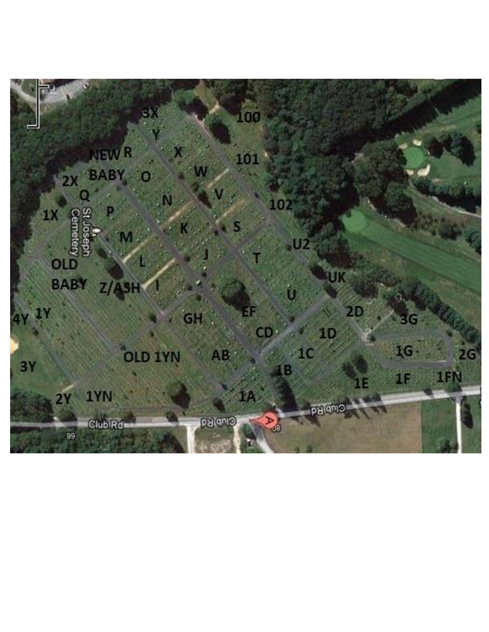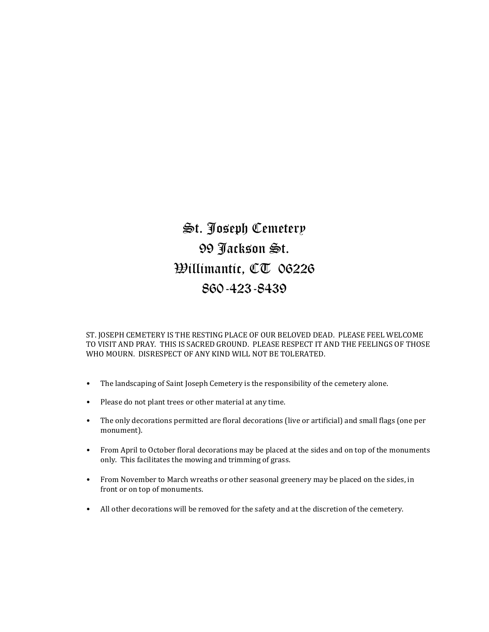## St. Joseph Cemetery 99 Jackson St. Willimantic, CT 06226 860-423-8439

ST. JOSEPH CEMETERY IS THE RESTING PLACE OF OUR BELOVED DEAD. PLEASE FEEL WELCOME TO VISIT AND PRAY. THIS IS SACRED GROUND. PLEASE RESPECT IT AND THE FEELINGS OF THOSE WHO MOURN. DISRESPECT OF ANY KIND WILL NOT BE TOLERATED.

- The landscaping of Saint Joseph Cemetery is the responsibility of the cemetery alone.
- Please do not plant trees or other material at any time.
- The only decorations permitted are floral decorations (live or artificial) and small flags (one per monument).
- From April to October floral decorations may be placed at the sides and on top of the monuments only. This facilitates the mowing and trimming of grass.
- From November to March wreaths or other seasonal greenery may be placed on the sides, in front or on top of monuments.
- All other decorations will be removed for the safety and at the discretion of the cemetery.